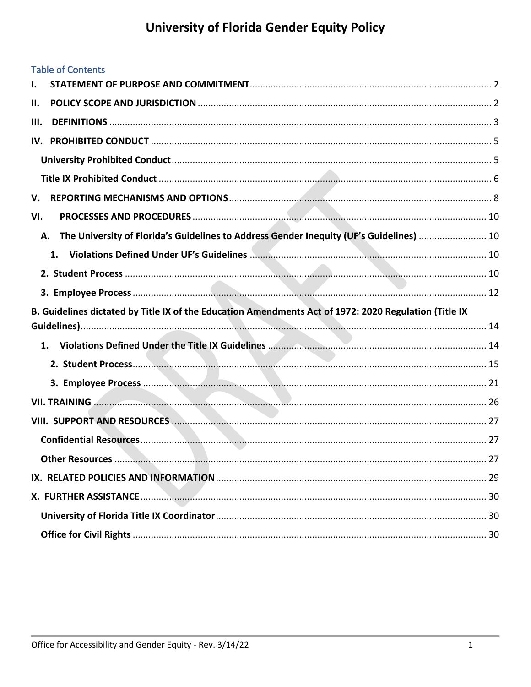### **Table of Contents**

| Ι.  |                                                                                                       |  |
|-----|-------------------------------------------------------------------------------------------------------|--|
| Н.  |                                                                                                       |  |
| Ш.  |                                                                                                       |  |
| IV. |                                                                                                       |  |
|     |                                                                                                       |  |
|     |                                                                                                       |  |
| V.  |                                                                                                       |  |
| VI. |                                                                                                       |  |
| А.  | The University of Florida's Guidelines to Address Gender Inequity (UF's Guidelines)  10               |  |
|     | 1.                                                                                                    |  |
|     |                                                                                                       |  |
|     |                                                                                                       |  |
|     | B. Guidelines dictated by Title IX of the Education Amendments Act of 1972: 2020 Regulation (Title IX |  |
|     |                                                                                                       |  |
|     |                                                                                                       |  |
|     |                                                                                                       |  |
|     |                                                                                                       |  |
|     | <b>VII. TRAINING</b>                                                                                  |  |
|     |                                                                                                       |  |
|     |                                                                                                       |  |
|     |                                                                                                       |  |
|     |                                                                                                       |  |
|     |                                                                                                       |  |
|     |                                                                                                       |  |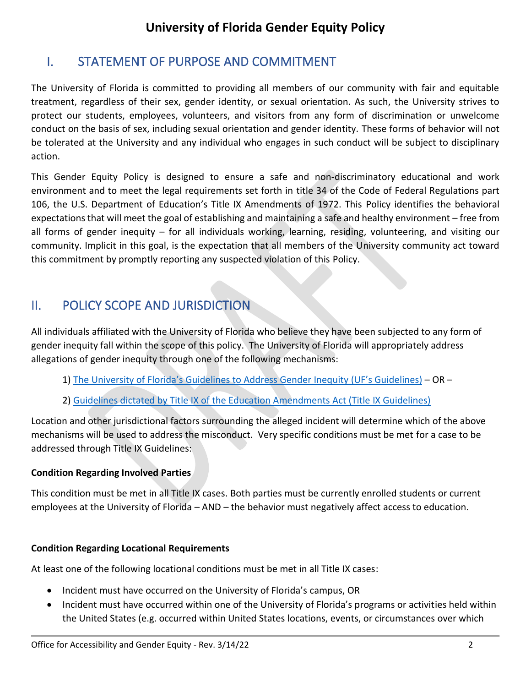# <span id="page-1-0"></span>I. STATEMENT OF PURPOSE AND COMMITMENT

The University of Florida is committed to providing all members of our community with fair and equitable treatment, regardless of their sex, gender identity, or sexual orientation. As such, the University strives to protect our students, employees, volunteers, and visitors from any form of discrimination or unwelcome conduct on the basis of sex, including sexual orientation and gender identity. These forms of behavior will not be tolerated at the University and any individual who engages in such conduct will be subject to disciplinary action.

This Gender Equity Policy is designed to ensure a safe and non-discriminatory educational and work environment and to meet the legal requirements set forth in title 34 of the Code of Federal Regulations part 106, the U.S. Department of Education's Title IX Amendments of 1972. This Policy identifies the behavioral expectations that will meet the goal of establishing and maintaining a safe and healthy environment – free from all forms of gender inequity – for all individuals working, learning, residing, volunteering, and visiting our community. Implicit in this goal, is the expectation that all members of the University community act toward this commitment by promptly reporting any suspected violation of this Policy.

## <span id="page-1-1"></span>II. POLICY SCOPE AND JURISDICTION

All individuals affiliated with the University of Florida who believe they have been subjected to any form of gender inequity fall within the scope of this policy. The University of Florida will appropriately address allegations of gender inequity through one of the following mechanisms:

- 1) The University of Florida's [Guidelines to Address Gender Inequity](#page-9-1) (UF's Guidelines) OR –
- 2) [Guidelines dictated by Title IX of the Education Amendments Act \(Title IX Guidelines\)](#page-13-0)

Location and other jurisdictional factors surrounding the alleged incident will determine which of the above mechanisms will be used to address the misconduct. Very specific conditions must be met for a case to be addressed through Title IX Guidelines:

### **Condition Regarding Involved Parties**

This condition must be met in all Title IX cases. Both parties must be currently enrolled students or current employees at the University of Florida – AND – the behavior must negatively affect access to education.

### **Condition Regarding Locational Requirements**

At least one of the following locational conditions must be met in all Title IX cases:

- Incident must have occurred on the University of Florida's campus, OR
- Incident must have occurred within one of the University of Florida's programs or activities held within the United States (e.g. occurred within United States locations, events, or circumstances over which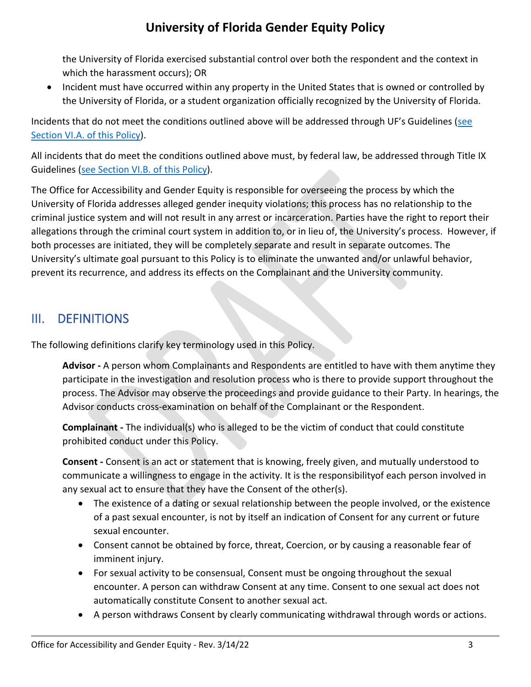the University of Florida exercised substantial control over both the respondent and the context in which the harassment occurs); OR

• Incident must have occurred within any property in the United States that is owned or controlled by the University of Florida, or a student organization officially recognized by the University of Florida.

Incidents that do not meet the conditions outlined above will be addressed through UF's Guidelines ([see](#page-9-1)  [Section VI.A. of this Policy\)](#page-9-1).

All incidents that do meet the conditions outlined above must, by federal law, be addressed through Title IX Guidelines [\(see Section VI.B. of this Policy\)](#page-13-0).

The Office for Accessibility and Gender Equity is responsible for overseeing the process by which the University of Florida addresses alleged gender inequity violations; this process has no relationship to the criminal justice system and will not result in any arrest or incarceration. Parties have the right to report their allegations through the criminal court system in addition to, or in lieu of, the University's process. However, if both processes are initiated, they will be completely separate and result in separate outcomes. The University's ultimate goal pursuant to this Policy is to eliminate the unwanted and/or unlawful behavior, prevent its recurrence, and address its effects on the Complainant and the University community.

## <span id="page-2-0"></span>III. DEFINITIONS

The following definitions clarify key terminology used in this Policy.

**Advisor -** A person whom Complainants and Respondents are entitled to have with them anytime they participate in the investigation and resolution process who is there to provide support throughout the process. The Advisor may observe the proceedings and provide guidance to their Party. In hearings, the Advisor conducts cross-examination on behalf of the Complainant or the Respondent.

**Complainant -** The individual(s) who is alleged to be the victim of conduct that could constitute prohibited conduct under this Policy.

**Consent -** Consent is an act or statement that is knowing, freely given, and mutually understood to communicate a willingness to engage in the activity. It is the responsibilityof each person involved in any sexual act to ensure that they have the Consent of the other(s).

- The existence of a dating or sexual relationship between the people involved, or the existence of a past sexual encounter, is not by itself an indication of Consent for any current or future sexual encounter.
- Consent cannot be obtained by force, threat, Coercion, or by causing a reasonable fear of imminent injury.
- For sexual activity to be consensual, Consent must be ongoing throughout the sexual encounter. A person can withdraw Consent at any time. Consent to one sexual act does not automatically constitute Consent to another sexual act.
- A person withdraws Consent by clearly communicating withdrawal through words or actions.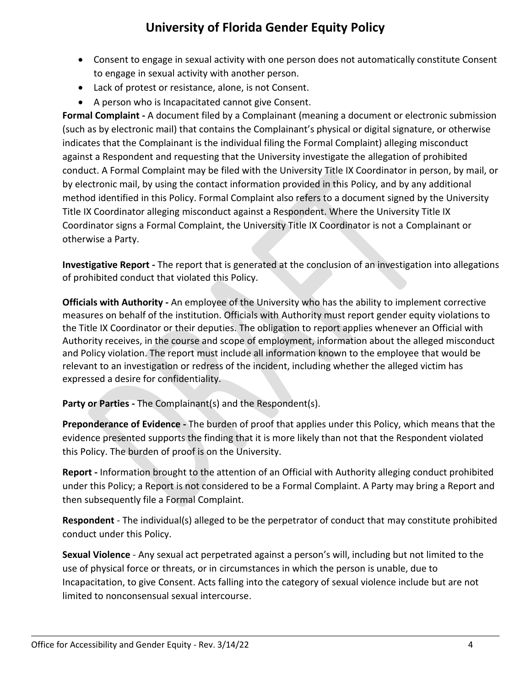- Consent to engage in sexual activity with one person does not automatically constitute Consent to engage in sexual activity with another person.
- Lack of protest or resistance, alone, is not Consent.
- A person who is Incapacitated cannot give Consent.

**Formal Complaint -** A document filed by a Complainant (meaning a document or electronic submission (such as by electronic mail) that contains the Complainant's physical or digital signature, or otherwise indicates that the Complainant is the individual filing the Formal Complaint) alleging misconduct against a Respondent and requesting that the University investigate the allegation of prohibited conduct. A Formal Complaint may be filed with the University Title IX Coordinator in person, by mail, or by electronic mail, by using the contact information provided in this Policy, and by any additional method identified in this Policy. Formal Complaint also refers to a document signed by the University Title IX Coordinator alleging misconduct against a Respondent. Where the University Title IX Coordinator signs a Formal Complaint, the University Title IX Coordinator is not a Complainant or otherwise a Party.

**Investigative Report -** The report that is generated at the conclusion of an investigation into allegations of prohibited conduct that violated this Policy.

**Officials with Authority -** An employee of the University who has the ability to implement corrective measures on behalf of the institution. Officials with Authority must report gender equity violations to the Title IX Coordinator or their deputies. The obligation to report applies whenever an Official with Authority receives, in the course and scope of employment, information about the alleged misconduct and Policy violation. The report must include all information known to the employee that would be relevant to an investigation or redress of the incident, including whether the alleged victim has expressed a desire for confidentiality.

**Party or Parties -** The Complainant(s) and the Respondent(s).

**Preponderance of Evidence -** The burden of proof that applies under this Policy, which means that the evidence presented supports the finding that it is more likely than not that the Respondent violated this Policy. The burden of proof is on the University.

**Report -** Information brought to the attention of an Official with Authority alleging conduct prohibited under this Policy; a Report is not considered to be a Formal Complaint. A Party may bring a Report and then subsequently file a Formal Complaint.

**Respondent** - The individual(s) alleged to be the perpetrator of conduct that may constitute prohibited conduct under this Policy.

**Sexual Violence** - Any sexual act perpetrated against a person's will, including but not limited to the use of physical force or threats, or in circumstances in which the person is unable, due to Incapacitation, to give Consent. Acts falling into the category of sexual violence include but are not limited to nonconsensual sexual intercourse.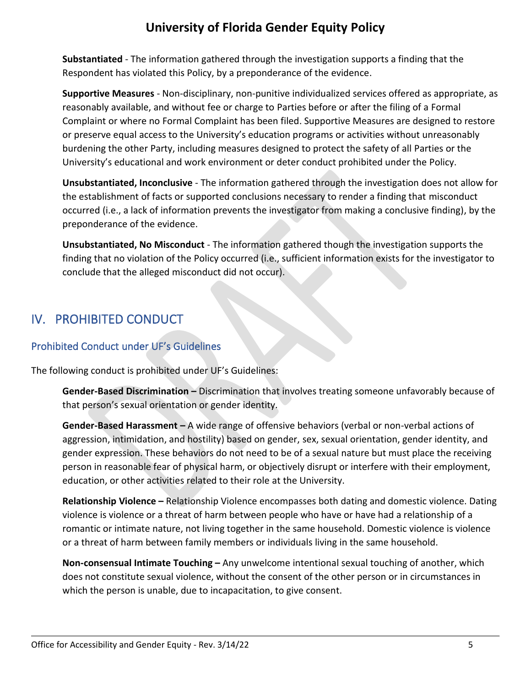**Substantiated** - The information gathered through the investigation supports a finding that the Respondent has violated this Policy, by a preponderance of the evidence.

**Supportive Measures** - Non-disciplinary, non-punitive individualized services offered as appropriate, as reasonably available, and without fee or charge to Parties before or after the filing of a Formal Complaint or where no Formal Complaint has been filed. Supportive Measures are designed to restore or preserve equal access to the University's education programs or activities without unreasonably burdening the other Party, including measures designed to protect the safety of all Parties or the University's educational and work environment or deter conduct prohibited under the Policy.

**Unsubstantiated, Inconclusive** - The information gathered through the investigation does not allow for the establishment of facts or supported conclusions necessary to render a finding that misconduct occurred (i.e., a lack of information prevents the investigator from making a conclusive finding), by the preponderance of the evidence.

**Unsubstantiated, No Misconduct** - The information gathered though the investigation supports the finding that no violation of the Policy occurred (i.e., sufficient information exists for the investigator to conclude that the alleged misconduct did not occur).

# <span id="page-4-0"></span>IV. PROHIBITED CONDUCT

### <span id="page-4-1"></span>Prohibited Conduct under UF's Guidelines

The following conduct is prohibited under UF's Guidelines:

**Gender-Based Discrimination –** Discrimination that involves treating someone unfavorably because of that person's sexual orientation or gender identity.

**Gender-Based Harassment –** A wide range of offensive behaviors (verbal or non-verbal actions of aggression, intimidation, and hostility) based on gender, sex, sexual orientation, gender identity, and gender expression. These behaviors do not need to be of a sexual nature but must place the receiving person in reasonable fear of physical harm, or objectively disrupt or interfere with their employment, education, or other activities related to their role at the University.

**Relationship Violence –** Relationship Violence encompasses both dating and domestic violence. Dating violence is violence or a threat of harm between people who have or have had a relationship of a romantic or intimate nature, not living together in the same household. Domestic violence is violence or a threat of harm between family members or individuals living in the same household.

**Non-consensual Intimate Touching –** Any unwelcome intentional sexual touching of another, which does not constitute sexual violence, without the consent of the other person or in circumstances in which the person is unable, due to incapacitation, to give consent.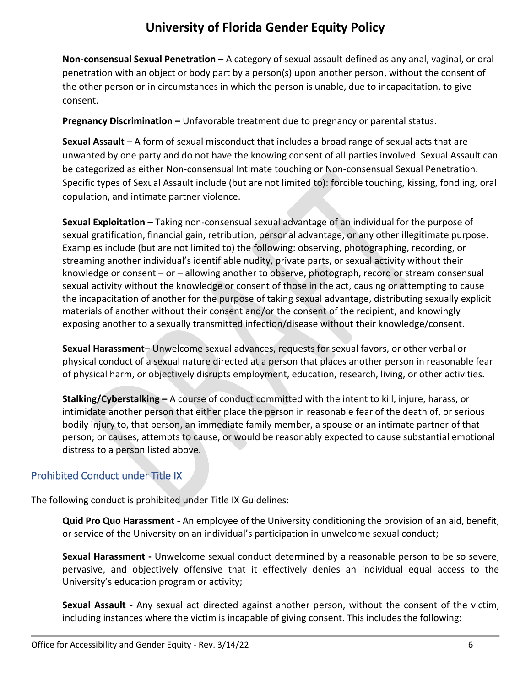**Non-consensual Sexual Penetration –** A category of sexual assault defined as any anal, vaginal, or oral penetration with an object or body part by a person(s) upon another person, without the consent of the other person or in circumstances in which the person is unable, due to incapacitation, to give consent.

**Pregnancy Discrimination –** Unfavorable treatment due to pregnancy or parental status.

**Sexual Assault –** A form of sexual misconduct that includes a broad range of sexual acts that are unwanted by one party and do not have the knowing consent of all parties involved. Sexual Assault can be categorized as either Non-consensual Intimate touching or Non-consensual Sexual Penetration. Specific types of Sexual Assault include (but are not limited to): forcible touching, kissing, fondling, oral copulation, and intimate partner violence.

**Sexual Exploitation –** Taking non-consensual sexual advantage of an individual for the purpose of sexual gratification, financial gain, retribution, personal advantage, or any other illegitimate purpose. Examples include (but are not limited to) the following: observing, photographing, recording, or streaming another individual's identifiable nudity, private parts, or sexual activity without their knowledge or consent – or – allowing another to observe, photograph, record or stream consensual sexual activity without the knowledge or consent of those in the act, causing or attempting to cause the incapacitation of another for the purpose of taking sexual advantage, distributing sexually explicit materials of another without their consent and/or the consent of the recipient, and knowingly exposing another to a sexually transmitted infection/disease without their knowledge/consent.

**Sexual Harassment–** Unwelcome sexual advances, requests for sexual favors, or other verbal or physical conduct of a sexual nature directed at a person that places another person in reasonable fear of physical harm, or objectively disrupts employment, education, research, living, or other activities.

**Stalking/Cyberstalking –** A course of conduct committed with the intent to kill, injure, harass, or intimidate another person that either place the person in reasonable fear of the death of, or serious bodily injury to, that person, an immediate family member, a spouse or an intimate partner of that person; or causes, attempts to cause, or would be reasonably expected to cause substantial emotional distress to a person listed above.

### <span id="page-5-0"></span>Prohibited Conduct under Title IX

The following conduct is prohibited under Title IX Guidelines:

**Quid Pro Quo Harassment -** An employee of the University conditioning the provision of an aid, benefit, or service of the University on an individual's participation in unwelcome sexual conduct;

**Sexual Harassment -** Unwelcome sexual conduct determined by a reasonable person to be so severe, pervasive, and objectively offensive that it effectively denies an individual equal access to the University's education program or activity;

**Sexual Assault -** Any sexual act directed against another person, without the consent of the victim, including instances where the victim is incapable of giving consent. This includes the following: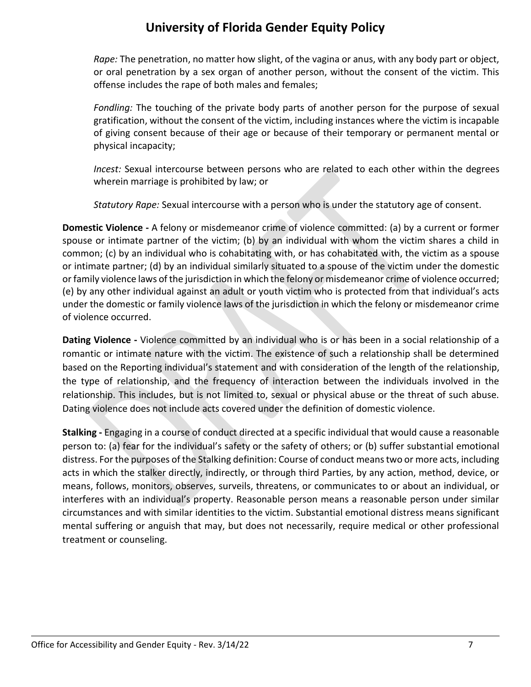*Rape:* The penetration, no matter how slight, of the vagina or anus, with any body part or object, or oral penetration by a sex organ of another person, without the consent of the victim. This offense includes the rape of both males and females;

*Fondling:* The touching of the private body parts of another person for the purpose of sexual gratification, without the consent of the victim, including instances where the victim is incapable of giving consent because of their age or because of their temporary or permanent mental or physical incapacity;

*Incest:* Sexual intercourse between persons who are related to each other within the degrees wherein marriage is prohibited by law; or

*Statutory Rape:* Sexual intercourse with a person who is under the statutory age of consent.

**Domestic Violence -** A felony or misdemeanor crime of violence committed: (a) by a current or former spouse or intimate partner of the victim; (b) by an individual with whom the victim shares a child in common; (c) by an individual who is cohabitating with, or has cohabitated with, the victim as a spouse or intimate partner; (d) by an individual similarly situated to a spouse of the victim under the domestic or family violence laws of the jurisdiction in which the felony or misdemeanor crime of violence occurred; (e) by any other individual against an adult or youth victim who is protected from that individual's acts under the domestic or family violence laws of the jurisdiction in which the felony or misdemeanor crime of violence occurred.

**Dating Violence -** Violence committed by an individual who is or has been in a social relationship of a romantic or intimate nature with the victim. The existence of such a relationship shall be determined based on the Reporting individual's statement and with consideration of the length of the relationship, the type of relationship, and the frequency of interaction between the individuals involved in the relationship. This includes, but is not limited to, sexual or physical abuse or the threat of such abuse. Dating violence does not include acts covered under the definition of domestic violence.

**Stalking -** Engaging in a course of conduct directed at a specific individual that would cause a reasonable person to: (a) fear for the individual's safety or the safety of others; or (b) suffer substantial emotional distress. For the purposes of the Stalking definition: Course of conduct means two or more acts, including acts in which the stalker directly, indirectly, or through third Parties, by any action, method, device, or means, follows, monitors, observes, surveils, threatens, or communicates to or about an individual, or interferes with an individual's property. Reasonable person means a reasonable person under similar circumstances and with similar identities to the victim. Substantial emotional distress means significant mental suffering or anguish that may, but does not necessarily, require medical or other professional treatment or counseling.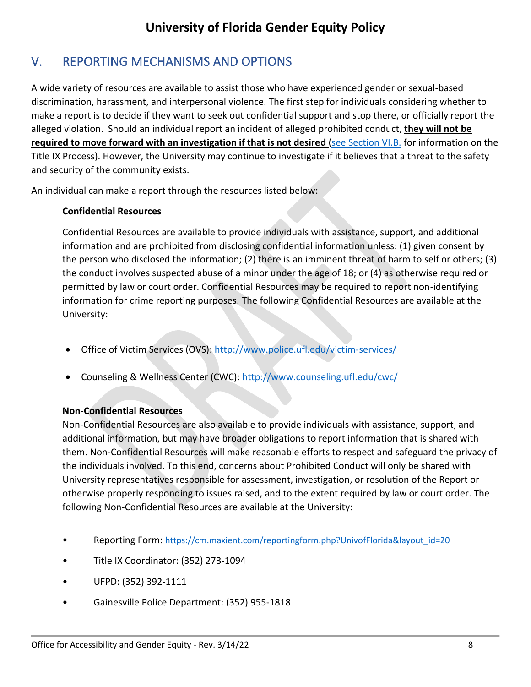# <span id="page-7-0"></span>V. REPORTING MECHANISMS AND OPTIONS

A wide variety of resources are available to assist those who have experienced gender or sexual-based discrimination, harassment, and interpersonal violence. The first step for individuals considering whether to make a report is to decide if they want to seek out confidential support and stop there, or officially report the alleged violation. Should an individual report an incident of alleged prohibited conduct, **they will not be required to move forward with an investigation if that is not desired** [\(see Section VI.B.](#page-13-0) for information on the Title IX Process). However, the University may continue to investigate if it believes that a threat to the safety and security of the community exists.

An individual can make a report through the resources listed below:

### **Confidential Resources**

Confidential Resources are available to provide individuals with assistance, support, and additional information and are prohibited from disclosing confidential information unless: (1) given consent by the person who disclosed the information; (2) there is an imminent threat of harm to self or others; (3) the conduct involves suspected abuse of a minor under the age of 18; or (4) as otherwise required or permitted by law or court order. Confidential Resources may be required to report non-identifying information for crime reporting purposes. The following Confidential Resources are available at the University:

- Office of Victim Services (OVS):<http://www.police.ufl.edu/victim-services/>
- Counseling & Wellness Center (CWC):<http://www.counseling.ufl.edu/cwc/>

### **Non-Confidential Resources**

Non-Confidential Resources are also available to provide individuals with assistance, support, and additional information, but may have broader obligations to report information that is shared with them. Non-Confidential Resources will make reasonable efforts to respect and safeguard the privacy of the individuals involved. To this end, concerns about Prohibited Conduct will only be shared with University representatives responsible for assessment, investigation, or resolution of the Report or otherwise properly responding to issues raised, and to the extent required by law or court order. The following Non-Confidential Resources are available at the University:

- Reporting Form: [https://cm.maxient.com/reportingform.php?UnivofFlorida&layout\\_id=20](https://cm.maxient.com/reportingform.php?UnivofFlorida&layout_id=20)
- Title IX Coordinator: (352) 273-1094
- UFPD: (352) 392-1111
- Gainesville Police Department: (352) 955-1818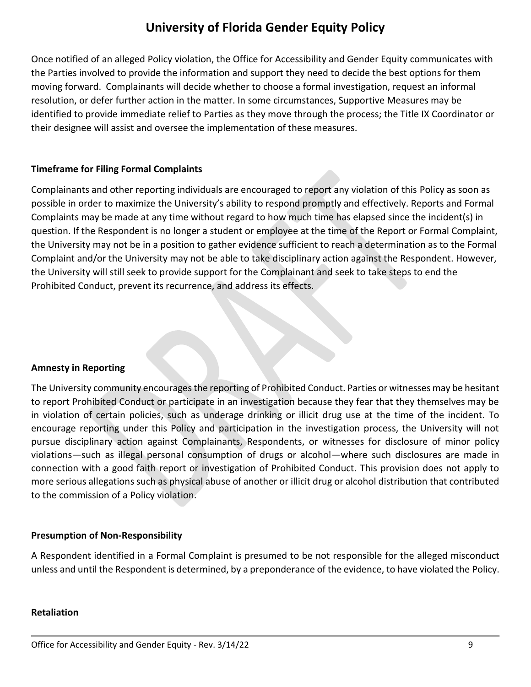Once notified of an alleged Policy violation, the Office for Accessibility and Gender Equity communicates with the Parties involved to provide the information and support they need to decide the best options for them moving forward. Complainants will decide whether to choose a formal investigation, request an informal resolution, or defer further action in the matter. In some circumstances, Supportive Measures may be identified to provide immediate relief to Parties as they move through the process; the Title IX Coordinator or their designee will assist and oversee the implementation of these measures.

### **Timeframe for Filing Formal Complaints**

Complainants and other reporting individuals are encouraged to report any violation of this Policy as soon as possible in order to maximize the University's ability to respond promptly and effectively. Reports and Formal Complaints may be made at any time without regard to how much time has elapsed since the incident(s) in question. If the Respondent is no longer a student or employee at the time of the Report or Formal Complaint, the University may not be in a position to gather evidence sufficient to reach a determination as to the Formal Complaint and/or the University may not be able to take disciplinary action against the Respondent. However, the University will still seek to provide support for the Complainant and seek to take steps to end the Prohibited Conduct, prevent its recurrence, and address its effects.

### **Amnesty in Reporting**

The University community encourages the reporting of Prohibited Conduct. Parties or witnesses may be hesitant to report Prohibited Conduct or participate in an investigation because they fear that they themselves may be in violation of certain policies, such as underage drinking or illicit drug use at the time of the incident. To encourage reporting under this Policy and participation in the investigation process, the University will not pursue disciplinary action against Complainants, Respondents, or witnesses for disclosure of minor policy violations—such as illegal personal consumption of drugs or alcohol—where such disclosures are made in connection with a good faith report or investigation of Prohibited Conduct. This provision does not apply to more serious allegations such as physical abuse of another or illicit drug or alcohol distribution that contributed to the commission of a Policy violation.

### **Presumption of Non-Responsibility**

A Respondent identified in a Formal Complaint is presumed to be not responsible for the alleged misconduct unless and until the Respondent is determined, by a preponderance of the evidence, to have violated the Policy.

#### **Retaliation**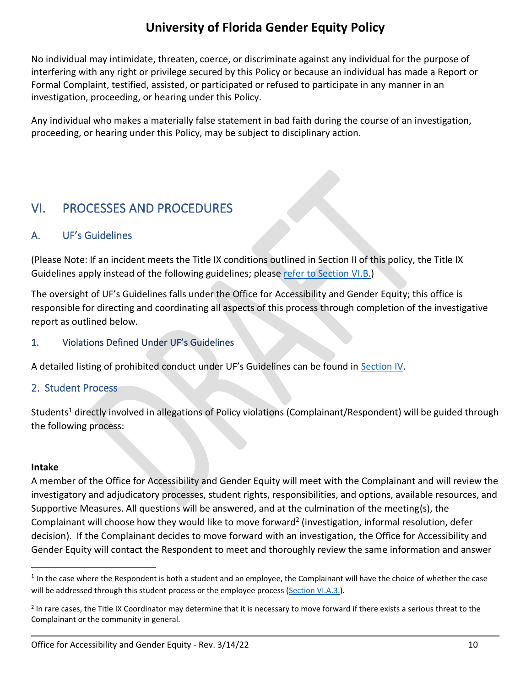No individual may intimidate, threaten, coerce, or discriminate against any individual for the purpose of interfering with any right or privilege secured by this Policy or because an individual has made a Report or Formal Complaint, testified, assisted, or participated or refused to participate in any manner in an investigation, proceeding, or hearing under this Policy.

Any individual who makes a materially false statement in bad faith during the course of an investigation, proceeding, or hearing under this Policy, may be subject to disciplinary action.

### <span id="page-9-0"></span>VI. PROCESSES AND PROCEDURES

### <span id="page-9-1"></span>A. UF's Guidelines

(Please Note: If an incident meets the Title IX conditions outlined in Section II of this policy, the Title IX Guidelines apply instead of the following guidelines; please [refer to Section VI.B.\)](#page-13-0)

The oversight of UF's Guidelines falls under the Office for Accessibility and Gender Equity; this office is responsible for directing and coordinating all aspects of this process through completion of the investigative report as outlined below.

### <span id="page-9-2"></span>1. Violations Defined Under UF's Guidelines

A detailed listing of prohibited conduct under UF's Guidelines can be found in [Section IV.](#page-4-1)

### <span id="page-9-3"></span>2. Student Process

Students<sup>1</sup> directly involved in allegations of Policy violations (Complainant/Respondent) will be guided through the following process:

#### **Intake**

A member of the Office for Accessibility and Gender Equity will meet with the Complainant and will review the investigatory and adjudicatory processes, student rights, responsibilities, and options, available resources, and Supportive Measures. All questions will be answered, and at the culmination of the meeting(s), the Complainant will choose how they would like to move forward<sup>2</sup> (investigation, informal resolution, defer decision). If the Complainant decides to move forward with an investigation, the Office for Accessibility and Gender Equity will contact the Respondent to meet and thoroughly review the same information and answer

 $1$  In the case where the Respondent is both a student and an employee, the Complainant will have the choice of whether the case will be addressed through this student process or the employee process [\(Section VI.A.3.\)](#page-11-0).

 $^2$  In rare cases, the Title IX Coordinator may determine that it is necessary to move forward if there exists a serious threat to the Complainant or the community in general.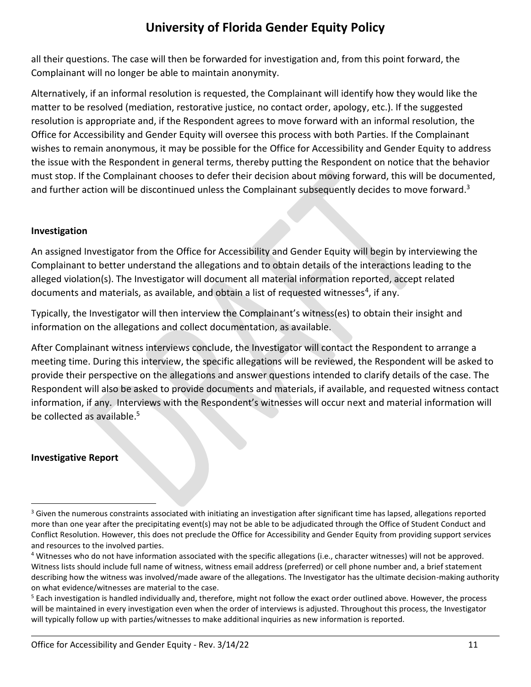all their questions. The case will then be forwarded for investigation and, from this point forward, the Complainant will no longer be able to maintain anonymity.

Alternatively, if an informal resolution is requested, the Complainant will identify how they would like the matter to be resolved (mediation, restorative justice, no contact order, apology, etc.). If the suggested resolution is appropriate and, if the Respondent agrees to move forward with an informal resolution, the Office for Accessibility and Gender Equity will oversee this process with both Parties. If the Complainant wishes to remain anonymous, it may be possible for the Office for Accessibility and Gender Equity to address the issue with the Respondent in general terms, thereby putting the Respondent on notice that the behavior must stop. If the Complainant chooses to defer their decision about moving forward, this will be documented, and further action will be discontinued unless the Complainant subsequently decides to move forward.<sup>3</sup>

### **Investigation**

An assigned Investigator from the Office for Accessibility and Gender Equity will begin by interviewing the Complainant to better understand the allegations and to obtain details of the interactions leading to the alleged violation(s). The Investigator will document all material information reported, accept related documents and materials, as available, and obtain a list of requested witnesses<sup>4</sup>, if any.

Typically, the Investigator will then interview the Complainant's witness(es) to obtain their insight and information on the allegations and collect documentation, as available.

After Complainant witness interviews conclude, the Investigator will contact the Respondent to arrange a meeting time. During this interview, the specific allegations will be reviewed, the Respondent will be asked to provide their perspective on the allegations and answer questions intended to clarify details of the case. The Respondent will also be asked to provide documents and materials, if available, and requested witness contact information, if any. Interviews with the Respondent's witnesses will occur next and material information will be collected as available.<sup>5</sup>

### **Investigative Report**

<sup>&</sup>lt;sup>3</sup> Given the numerous constraints associated with initiating an investigation after significant time has lapsed, allegations reported more than one year after the precipitating event(s) may not be able to be adjudicated through the Office of Student Conduct and Conflict Resolution. However, this does not preclude the Office for Accessibility and Gender Equity from providing support services and resources to the involved parties.

<sup>4</sup> Witnesses who do not have information associated with the specific allegations (i.e., character witnesses) will not be approved. Witness lists should include full name of witness, witness email address (preferred) or cell phone number and, a brief statement describing how the witness was involved/made aware of the allegations. The Investigator has the ultimate decision-making authority on what evidence/witnesses are material to the case.

<sup>&</sup>lt;sup>5</sup> Each investigation is handled individually and, therefore, might not follow the exact order outlined above. However, the process will be maintained in every investigation even when the order of interviews is adjusted. Throughout this process, the Investigator will typically follow up with parties/witnesses to make additional inquiries as new information is reported.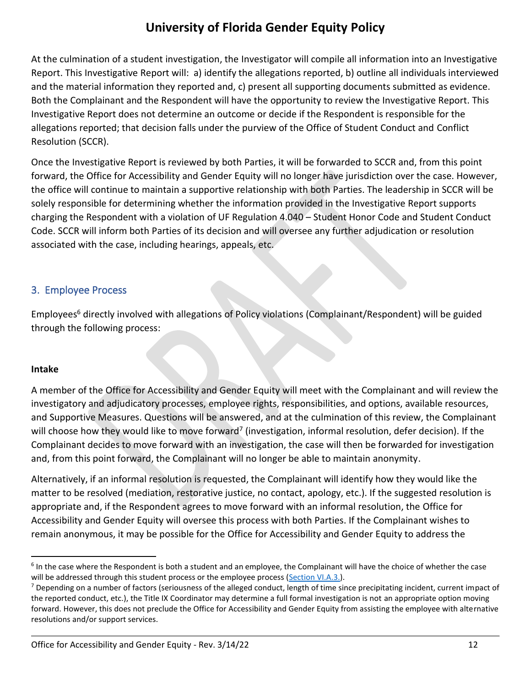At the culmination of a student investigation, the Investigator will compile all information into an Investigative Report. This Investigative Report will: a) identify the allegations reported, b) outline all individuals interviewed and the material information they reported and, c) present all supporting documents submitted as evidence. Both the Complainant and the Respondent will have the opportunity to review the Investigative Report. This Investigative Report does not determine an outcome or decide if the Respondent is responsible for the allegations reported; that decision falls under the purview of the Office of Student Conduct and Conflict Resolution (SCCR).

Once the Investigative Report is reviewed by both Parties, it will be forwarded to SCCR and, from this point forward, the Office for Accessibility and Gender Equity will no longer have jurisdiction over the case. However, the office will continue to maintain a supportive relationship with both Parties. The leadership in SCCR will be solely responsible for determining whether the information provided in the Investigative Report supports charging the Respondent with a violation of UF Regulation 4.040 – Student Honor Code and Student Conduct Code. SCCR will inform both Parties of its decision and will oversee any further adjudication or resolution associated with the case, including hearings, appeals, etc.

### <span id="page-11-0"></span>3. Employee Process

Employees<sup>6</sup> directly involved with allegations of Policy violations (Complainant/Respondent) will be guided through the following process:

### **Intake**

A member of the Office for Accessibility and Gender Equity will meet with the Complainant and will review the investigatory and adjudicatory processes, employee rights, responsibilities, and options, available resources, and Supportive Measures. Questions will be answered, and at the culmination of this review, the Complainant will choose how they would like to move forward<sup>7</sup> (investigation, informal resolution, defer decision). If the Complainant decides to move forward with an investigation, the case will then be forwarded for investigation and, from this point forward, the Complainant will no longer be able to maintain anonymity.

Alternatively, if an informal resolution is requested, the Complainant will identify how they would like the matter to be resolved (mediation, restorative justice, no contact, apology, etc.). If the suggested resolution is appropriate and, if the Respondent agrees to move forward with an informal resolution, the Office for Accessibility and Gender Equity will oversee this process with both Parties. If the Complainant wishes to remain anonymous, it may be possible for the Office for Accessibility and Gender Equity to address the

<sup>&</sup>lt;sup>6</sup> In the case where the Respondent is both a student and an employee, the Complainant will have the choice of whether the case will be addressed through this student process or the employee process [\(Section VI.A.3.\)](#page-11-0).

 $<sup>7</sup>$  Depending on a number of factors (seriousness of the alleged conduct, length of time since precipitating incident, current impact of</sup> the reported conduct, etc.), the Title IX Coordinator may determine a full formal investigation is not an appropriate option moving forward. However, this does not preclude the Office for Accessibility and Gender Equity from assisting the employee with alternative resolutions and/or support services.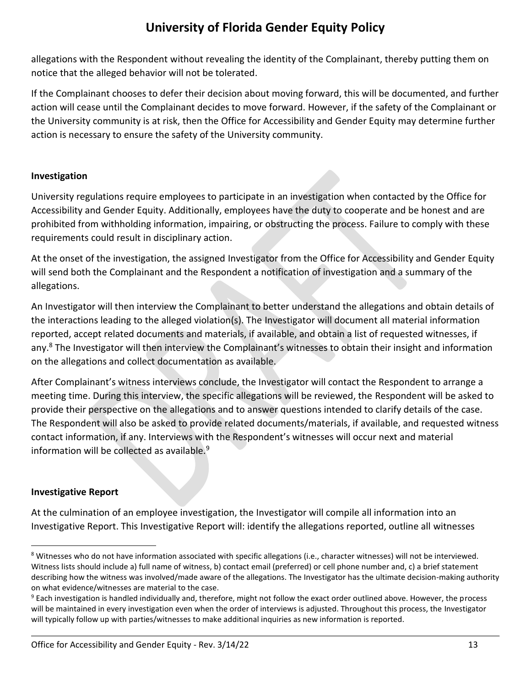allegations with the Respondent without revealing the identity of the Complainant, thereby putting them on notice that the alleged behavior will not be tolerated.

If the Complainant chooses to defer their decision about moving forward, this will be documented, and further action will cease until the Complainant decides to move forward. However, if the safety of the Complainant or the University community is at risk, then the Office for Accessibility and Gender Equity may determine further action is necessary to ensure the safety of the University community.

### **Investigation**

University regulations require employees to participate in an investigation when contacted by the Office for Accessibility and Gender Equity. Additionally, employees have the duty to cooperate and be honest and are prohibited from withholding information, impairing, or obstructing the process. Failure to comply with these requirements could result in disciplinary action.

At the onset of the investigation, the assigned Investigator from the Office for Accessibility and Gender Equity will send both the Complainant and the Respondent a notification of investigation and a summary of the allegations.

An Investigator will then interview the Complainant to better understand the allegations and obtain details of the interactions leading to the alleged violation(s). The Investigator will document all material information reported, accept related documents and materials, if available, and obtain a list of requested witnesses, if any.<sup>8</sup> The Investigator will then interview the Complainant's witnesses to obtain their insight and information on the allegations and collect documentation as available.

After Complainant's witness interviews conclude, the Investigator will contact the Respondent to arrange a meeting time. During this interview, the specific allegations will be reviewed, the Respondent will be asked to provide their perspective on the allegations and to answer questions intended to clarify details of the case. The Respondent will also be asked to provide related documents/materials, if available, and requested witness contact information, if any. Interviews with the Respondent's witnesses will occur next and material information will be collected as available.<sup>9</sup>

### **Investigative Report**

At the culmination of an employee investigation, the Investigator will compile all information into an Investigative Report. This Investigative Report will: identify the allegations reported, outline all witnesses

<sup>&</sup>lt;sup>8</sup> Witnesses who do not have information associated with specific allegations (i.e., character witnesses) will not be interviewed. Witness lists should include a) full name of witness, b) contact email (preferred) or cell phone number and, c) a brief statement describing how the witness was involved/made aware of the allegations. The Investigator has the ultimate decision-making authority on what evidence/witnesses are material to the case.

<sup>&</sup>lt;sup>9</sup> Each investigation is handled individually and, therefore, might not follow the exact order outlined above. However, the process will be maintained in every investigation even when the order of interviews is adjusted. Throughout this process, the Investigator will typically follow up with parties/witnesses to make additional inquiries as new information is reported.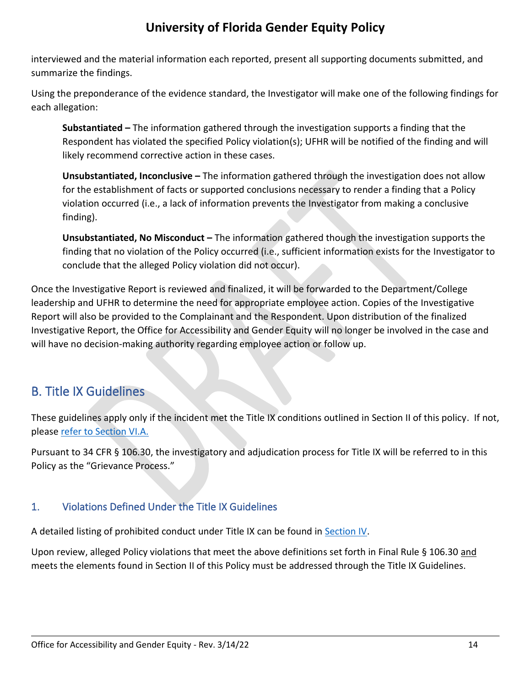interviewed and the material information each reported, present all supporting documents submitted, and summarize the findings.

Using the preponderance of the evidence standard, the Investigator will make one of the following findings for each allegation:

**Substantiated –** The information gathered through the investigation supports a finding that the Respondent has violated the specified Policy violation(s); UFHR will be notified of the finding and will likely recommend corrective action in these cases.

**Unsubstantiated, Inconclusive –** The information gathered through the investigation does not allow for the establishment of facts or supported conclusions necessary to render a finding that a Policy violation occurred (i.e., a lack of information prevents the Investigator from making a conclusive finding).

**Unsubstantiated, No Misconduct –** The information gathered though the investigation supports the finding that no violation of the Policy occurred (i.e., sufficient information exists for the Investigator to conclude that the alleged Policy violation did not occur).

Once the Investigative Report is reviewed and finalized, it will be forwarded to the Department/College leadership and UFHR to determine the need for appropriate employee action. Copies of the Investigative Report will also be provided to the Complainant and the Respondent. Upon distribution of the finalized Investigative Report, the Office for Accessibility and Gender Equity will no longer be involved in the case and will have no decision-making authority regarding employee action or follow up.

### <span id="page-13-0"></span>B. Title IX Guidelines

These guidelines apply only if the incident met the Title IX conditions outlined in Section II of this policy. If not, please [refer to Section VI.A.](#page-9-1)

Pursuant to 34 CFR § 106.30, the investigatory and adjudication process for Title IX will be referred to in this Policy as the "Grievance Process."

### <span id="page-13-1"></span>1. Violations Defined Under the Title IX Guidelines

A detailed listing of prohibited conduct under Title IX can be found in [Section IV.](#page-5-0)

Upon review, alleged Policy violations that meet the above definitions set forth in Final Rule § 106.30 and meets the elements found in Section II of this Policy must be addressed through the Title IX Guidelines.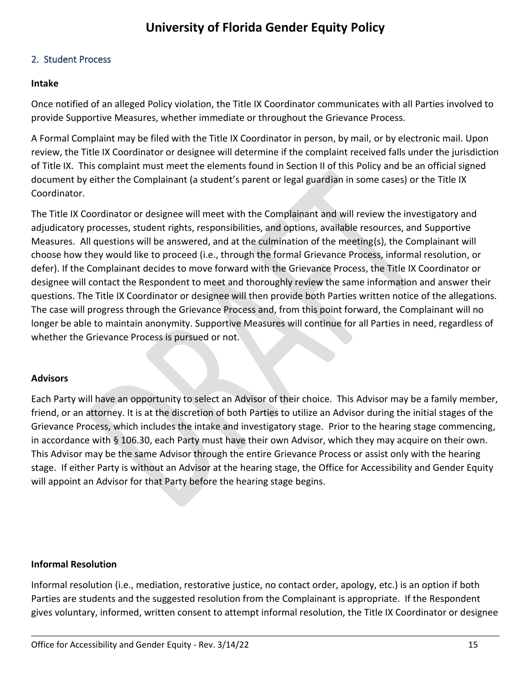#### <span id="page-14-0"></span>2. Student Process

#### **Intake**

Once notified of an alleged Policy violation, the Title IX Coordinator communicates with all Parties involved to provide Supportive Measures, whether immediate or throughout the Grievance Process.

A Formal Complaint may be filed with the Title IX Coordinator in person, by mail, or by electronic mail. Upon review, the Title IX Coordinator or designee will determine if the complaint received falls under the jurisdiction of Title IX. This complaint must meet the elements found in Section II of this Policy and be an official signed document by either the Complainant (a student's parent or legal guardian in some cases) or the Title IX Coordinator.

The Title IX Coordinator or designee will meet with the Complainant and will review the investigatory and adjudicatory processes, student rights, responsibilities, and options, available resources, and Supportive Measures. All questions will be answered, and at the culmination of the meeting(s), the Complainant will choose how they would like to proceed (i.e., through the formal Grievance Process, informal resolution, or defer). If the Complainant decides to move forward with the Grievance Process, the Title IX Coordinator or designee will contact the Respondent to meet and thoroughly review the same information and answer their questions. The Title IX Coordinator or designee will then provide both Parties written notice of the allegations. The case will progress through the Grievance Process and, from this point forward, the Complainant will no longer be able to maintain anonymity. Supportive Measures will continue for all Parties in need, regardless of whether the Grievance Process is pursued or not.

#### **Advisors**

Each Party will have an opportunity to select an Advisor of their choice. This Advisor may be a family member, friend, or an attorney. It is at the discretion of both Parties to utilize an Advisor during the initial stages of the Grievance Process, which includes the intake and investigatory stage. Prior to the hearing stage commencing, in accordance with § 106.30, each Party must have their own Advisor, which they may acquire on their own. This Advisor may be the same Advisor through the entire Grievance Process or assist only with the hearing stage. If either Party is without an Advisor at the hearing stage, the Office for Accessibility and Gender Equity will appoint an Advisor for that Party before the hearing stage begins.

#### **Informal Resolution**

Informal resolution (i.e., mediation, restorative justice, no contact order, apology, etc.) is an option if both Parties are students and the suggested resolution from the Complainant is appropriate. If the Respondent gives voluntary, informed, written consent to attempt informal resolution, the Title IX Coordinator or designee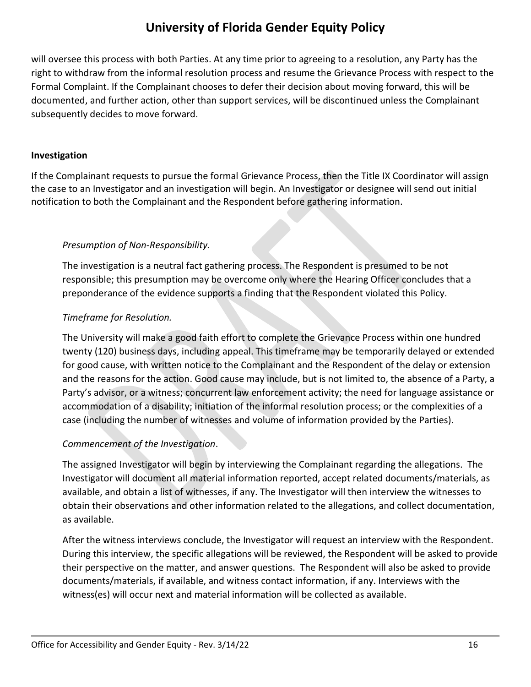will oversee this process with both Parties. At any time prior to agreeing to a resolution, any Party has the right to withdraw from the informal resolution process and resume the Grievance Process with respect to the Formal Complaint. If the Complainant chooses to defer their decision about moving forward, this will be documented, and further action, other than support services, will be discontinued unless the Complainant subsequently decides to move forward.

### **Investigation**

If the Complainant requests to pursue the formal Grievance Process, then the Title IX Coordinator will assign the case to an Investigator and an investigation will begin. An Investigator or designee will send out initial notification to both the Complainant and the Respondent before gathering information.

### *Presumption of Non-Responsibility.*

The investigation is a neutral fact gathering process. The Respondent is presumed to be not responsible; this presumption may be overcome only where the Hearing Officer concludes that a preponderance of the evidence supports a finding that the Respondent violated this Policy.

### *Timeframe for Resolution.*

The University will make a good faith effort to complete the Grievance Process within one hundred twenty (120) business days, including appeal. This timeframe may be temporarily delayed or extended for good cause, with written notice to the Complainant and the Respondent of the delay or extension and the reasons for the action. Good cause may include, but is not limited to, the absence of a Party, a Party's advisor, or a witness; concurrent law enforcement activity; the need for language assistance or accommodation of a disability; initiation of the informal resolution process; or the complexities of a case (including the number of witnesses and volume of information provided by the Parties).

### *Commencement of the Investigation*.

The assigned Investigator will begin by interviewing the Complainant regarding the allegations. The Investigator will document all material information reported, accept related documents/materials, as available, and obtain a list of witnesses, if any. The Investigator will then interview the witnesses to obtain their observations and other information related to the allegations, and collect documentation, as available.

After the witness interviews conclude, the Investigator will request an interview with the Respondent. During this interview, the specific allegations will be reviewed, the Respondent will be asked to provide their perspective on the matter, and answer questions. The Respondent will also be asked to provide documents/materials, if available, and witness contact information, if any. Interviews with the witness(es) will occur next and material information will be collected as available.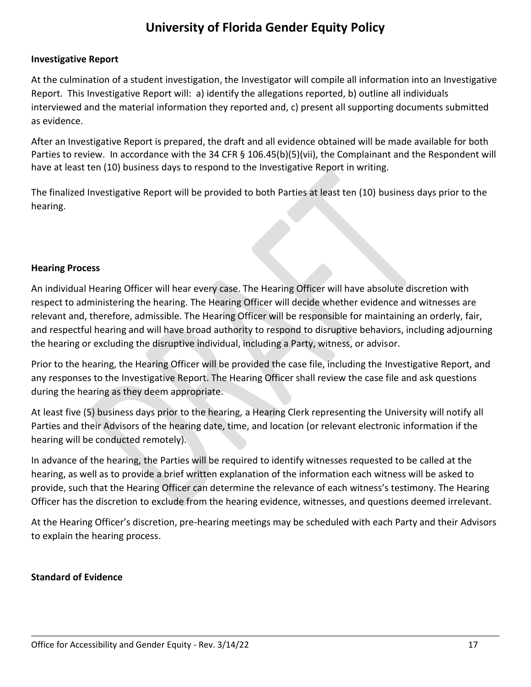#### **Investigative Report**

At the culmination of a student investigation, the Investigator will compile all information into an Investigative Report. This Investigative Report will: a) identify the allegations reported, b) outline all individuals interviewed and the material information they reported and, c) present all supporting documents submitted as evidence.

After an Investigative Report is prepared, the draft and all evidence obtained will be made available for both Parties to review. In accordance with the 34 CFR § 106.45(b)(5)(vii), the Complainant and the Respondent will have at least ten (10) business days to respond to the Investigative Report in writing.

The finalized Investigative Report will be provided to both Parties at least ten (10) business days prior to the hearing.

#### **Hearing Process**

An individual Hearing Officer will hear every case. The Hearing Officer will have absolute discretion with respect to administering the hearing. The Hearing Officer will decide whether evidence and witnesses are relevant and, therefore, admissible. The Hearing Officer will be responsible for maintaining an orderly, fair, and respectful hearing and will have broad authority to respond to disruptive behaviors, including adjourning the hearing or excluding the disruptive individual, including a Party, witness, or advisor.

Prior to the hearing, the Hearing Officer will be provided the case file, including the Investigative Report, and any responses to the Investigative Report. The Hearing Officer shall review the case file and ask questions during the hearing as they deem appropriate.

At least five (5) business days prior to the hearing, a Hearing Clerk representing the University will notify all Parties and their Advisors of the hearing date, time, and location (or relevant electronic information if the hearing will be conducted remotely).

In advance of the hearing, the Parties will be required to identify witnesses requested to be called at the hearing, as well as to provide a brief written explanation of the information each witness will be asked to provide, such that the Hearing Officer can determine the relevance of each witness's testimony. The Hearing Officer has the discretion to exclude from the hearing evidence, witnesses, and questions deemed irrelevant.

At the Hearing Officer's discretion, pre-hearing meetings may be scheduled with each Party and their Advisors to explain the hearing process.

### **Standard of Evidence**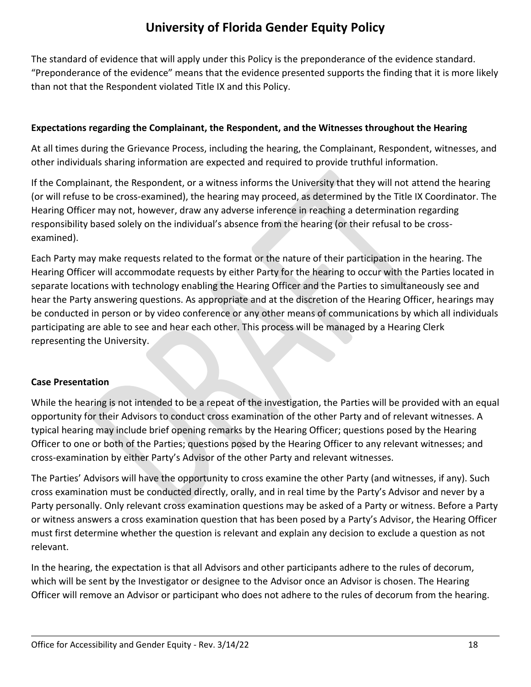The standard of evidence that will apply under this Policy is the preponderance of the evidence standard. "Preponderance of the evidence" means that the evidence presented supports the finding that it is more likely than not that the Respondent violated Title IX and this Policy.

### **Expectations regarding the Complainant, the Respondent, and the Witnesses throughout the Hearing**

At all times during the Grievance Process, including the hearing, the Complainant, Respondent, witnesses, and other individuals sharing information are expected and required to provide truthful information.

If the Complainant, the Respondent, or a witness informs the University that they will not attend the hearing (or will refuse to be cross-examined), the hearing may proceed, as determined by the Title IX Coordinator. The Hearing Officer may not, however, draw any adverse inference in reaching a determination regarding responsibility based solely on the individual's absence from the hearing (or their refusal to be crossexamined).

Each Party may make requests related to the format or the nature of their participation in the hearing. The Hearing Officer will accommodate requests by either Party for the hearing to occur with the Parties located in separate locations with technology enabling the Hearing Officer and the Parties to simultaneously see and hear the Party answering questions. As appropriate and at the discretion of the Hearing Officer, hearings may be conducted in person or by video conference or any other means of communications by which all individuals participating are able to see and hear each other. This process will be managed by a Hearing Clerk representing the University.

### **Case Presentation**

While the hearing is not intended to be a repeat of the investigation, the Parties will be provided with an equal opportunity for their Advisors to conduct cross examination of the other Party and of relevant witnesses. A typical hearing may include brief opening remarks by the Hearing Officer; questions posed by the Hearing Officer to one or both of the Parties; questions posed by the Hearing Officer to any relevant witnesses; and cross-examination by either Party's Advisor of the other Party and relevant witnesses.

The Parties' Advisors will have the opportunity to cross examine the other Party (and witnesses, if any). Such cross examination must be conducted directly, orally, and in real time by the Party's Advisor and never by a Party personally. Only relevant cross examination questions may be asked of a Party or witness. Before a Party or witness answers a cross examination question that has been posed by a Party's Advisor, the Hearing Officer must first determine whether the question is relevant and explain any decision to exclude a question as not relevant.

In the hearing, the expectation is that all Advisors and other participants adhere to the rules of decorum, which will be sent by the Investigator or designee to the Advisor once an Advisor is chosen. The Hearing Officer will remove an Advisor or participant who does not adhere to the rules of decorum from the hearing.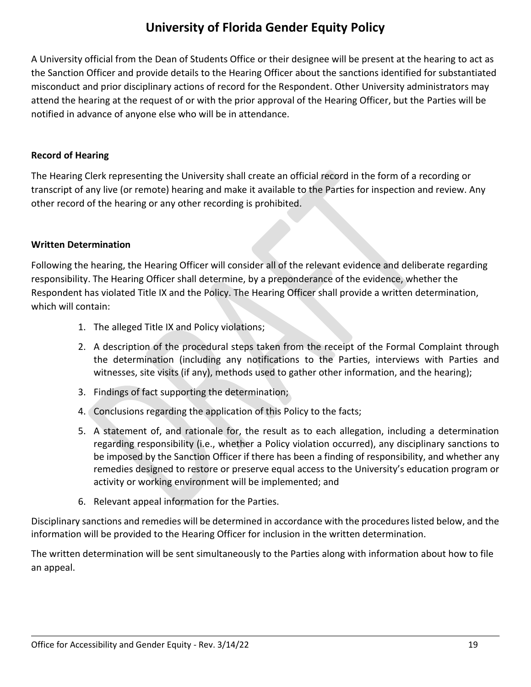A University official from the Dean of Students Office or their designee will be present at the hearing to act as the Sanction Officer and provide details to the Hearing Officer about the sanctions identified for substantiated misconduct and prior disciplinary actions of record for the Respondent. Other University administrators may attend the hearing at the request of or with the prior approval of the Hearing Officer, but the Parties will be notified in advance of anyone else who will be in attendance.

#### **Record of Hearing**

The Hearing Clerk representing the University shall create an official record in the form of a recording or transcript of any live (or remote) hearing and make it available to the Parties for inspection and review. Any other record of the hearing or any other recording is prohibited.

#### **Written Determination**

Following the hearing, the Hearing Officer will consider all of the relevant evidence and deliberate regarding responsibility. The Hearing Officer shall determine, by a preponderance of the evidence, whether the Respondent has violated Title IX and the Policy. The Hearing Officer shall provide a written determination, which will contain:

- 1. The alleged Title IX and Policy violations;
- 2. A description of the procedural steps taken from the receipt of the Formal Complaint through the determination (including any notifications to the Parties, interviews with Parties and witnesses, site visits (if any), methods used to gather other information, and the hearing);
- 3. Findings of fact supporting the determination;
- 4. Conclusions regarding the application of this Policy to the facts;
- 5. A statement of, and rationale for, the result as to each allegation, including a determination regarding responsibility (i.e., whether a Policy violation occurred), any disciplinary sanctions to be imposed by the Sanction Officer if there has been a finding of responsibility, and whether any remedies designed to restore or preserve equal access to the University's education program or activity or working environment will be implemented; and
- 6. Relevant appeal information for the Parties.

Disciplinary sanctions and remedies will be determined in accordance with the procedures listed below, and the information will be provided to the Hearing Officer for inclusion in the written determination.

The written determination will be sent simultaneously to the Parties along with information about how to file an appeal.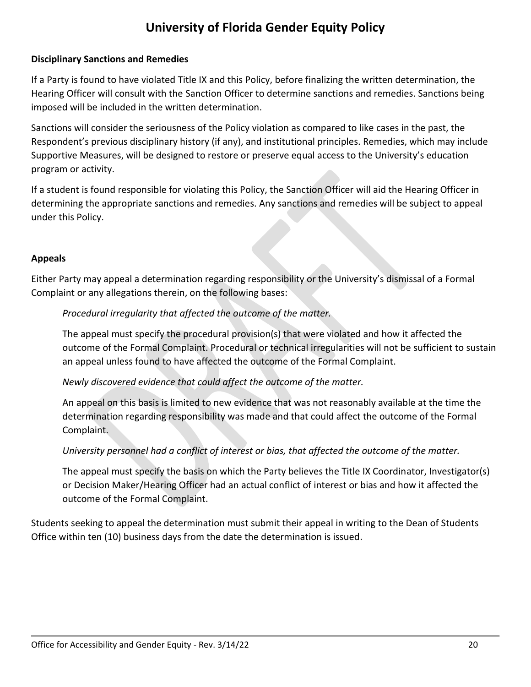### **Disciplinary Sanctions and Remedies**

If a Party is found to have violated Title IX and this Policy, before finalizing the written determination, the Hearing Officer will consult with the Sanction Officer to determine sanctions and remedies. Sanctions being imposed will be included in the written determination.

Sanctions will consider the seriousness of the Policy violation as compared to like cases in the past, the Respondent's previous disciplinary history (if any), and institutional principles. Remedies, which may include Supportive Measures, will be designed to restore or preserve equal access to the University's education program or activity.

If a student is found responsible for violating this Policy, the Sanction Officer will aid the Hearing Officer in determining the appropriate sanctions and remedies. Any sanctions and remedies will be subject to appeal under this Policy.

### **Appeals**

Either Party may appeal a determination regarding responsibility or the University's dismissal of a Formal Complaint or any allegations therein, on the following bases:

### *Procedural irregularity that affected the outcome of the matter.*

The appeal must specify the procedural provision(s) that were violated and how it affected the outcome of the Formal Complaint. Procedural or technical irregularities will not be sufficient to sustain an appeal unless found to have affected the outcome of the Formal Complaint.

### *Newly discovered evidence that could affect the outcome of the matter.*

An appeal on this basis is limited to new evidence that was not reasonably available at the time the determination regarding responsibility was made and that could affect the outcome of the Formal Complaint.

*University personnel had a conflict of interest or bias, that affected the outcome of the matter.*

The appeal must specify the basis on which the Party believes the Title IX Coordinator, Investigator(s) or Decision Maker/Hearing Officer had an actual conflict of interest or bias and how it affected the outcome of the Formal Complaint.

Students seeking to appeal the determination must submit their appeal in writing to the Dean of Students Office within ten (10) business days from the date the determination is issued.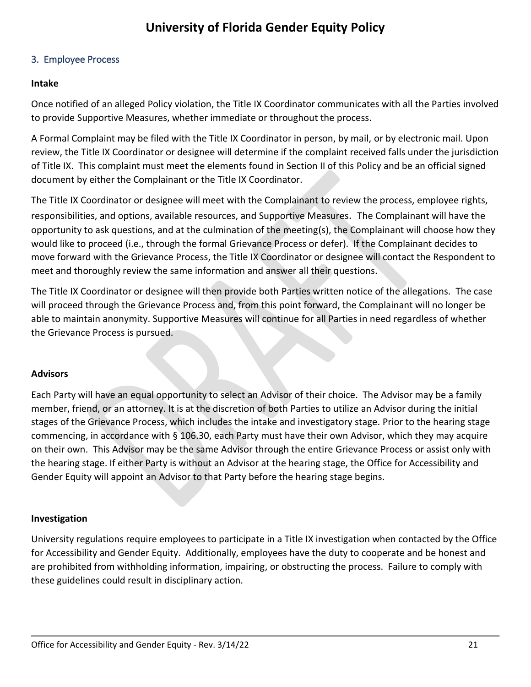#### <span id="page-20-0"></span>3. Employee Process

#### **Intake**

Once notified of an alleged Policy violation, the Title IX Coordinator communicates with all the Parties involved to provide Supportive Measures, whether immediate or throughout the process.

A Formal Complaint may be filed with the Title IX Coordinator in person, by mail, or by electronic mail. Upon review, the Title IX Coordinator or designee will determine if the complaint received falls under the jurisdiction of Title IX. This complaint must meet the elements found in Section II of this Policy and be an official signed document by either the Complainant or the Title IX Coordinator.

The Title IX Coordinator or designee will meet with the Complainant to review the process, employee rights, responsibilities, and options, available resources, and Supportive Measures. The Complainant will have the opportunity to ask questions, and at the culmination of the meeting(s), the Complainant will choose how they would like to proceed (i.e., through the formal Grievance Process or defer). If the Complainant decides to move forward with the Grievance Process, the Title IX Coordinator or designee will contact the Respondent to meet and thoroughly review the same information and answer all their questions.

The Title IX Coordinator or designee will then provide both Parties written notice of the allegations. The case will proceed through the Grievance Process and, from this point forward, the Complainant will no longer be able to maintain anonymity. Supportive Measures will continue for all Parties in need regardless of whether the Grievance Process is pursued.

### **Advisors**

Each Party will have an equal opportunity to select an Advisor of their choice. The Advisor may be a family member, friend, or an attorney. It is at the discretion of both Parties to utilize an Advisor during the initial stages of the Grievance Process, which includes the intake and investigatory stage. Prior to the hearing stage commencing, in accordance with § 106.30, each Party must have their own Advisor, which they may acquire on their own. This Advisor may be the same Advisor through the entire Grievance Process or assist only with the hearing stage. If either Party is without an Advisor at the hearing stage, the Office for Accessibility and Gender Equity will appoint an Advisor to that Party before the hearing stage begins.

#### **Investigation**

University regulations require employees to participate in a Title IX investigation when contacted by the Office for Accessibility and Gender Equity. Additionally, employees have the duty to cooperate and be honest and are prohibited from withholding information, impairing, or obstructing the process. Failure to comply with these guidelines could result in disciplinary action.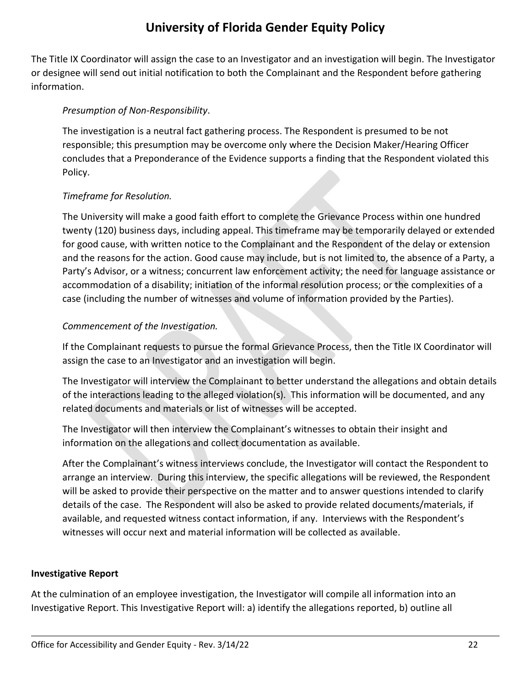The Title IX Coordinator will assign the case to an Investigator and an investigation will begin. The Investigator or designee will send out initial notification to both the Complainant and the Respondent before gathering information.

### *Presumption of Non-Responsibility*.

The investigation is a neutral fact gathering process. The Respondent is presumed to be not responsible; this presumption may be overcome only where the Decision Maker/Hearing Officer concludes that a Preponderance of the Evidence supports a finding that the Respondent violated this Policy.

### *Timeframe for Resolution.*

The University will make a good faith effort to complete the Grievance Process within one hundred twenty (120) business days, including appeal. This timeframe may be temporarily delayed or extended for good cause, with written notice to the Complainant and the Respondent of the delay or extension and the reasons for the action. Good cause may include, but is not limited to, the absence of a Party, a Party's Advisor, or a witness; concurrent law enforcement activity; the need for language assistance or accommodation of a disability; initiation of the informal resolution process; or the complexities of a case (including the number of witnesses and volume of information provided by the Parties).

### *Commencement of the Investigation.*

If the Complainant requests to pursue the formal Grievance Process, then the Title IX Coordinator will assign the case to an Investigator and an investigation will begin.

The Investigator will interview the Complainant to better understand the allegations and obtain details of the interactions leading to the alleged violation(s). This information will be documented, and any related documents and materials or list of witnesses will be accepted.

The Investigator will then interview the Complainant's witnesses to obtain their insight and information on the allegations and collect documentation as available.

After the Complainant's witness interviews conclude, the Investigator will contact the Respondent to arrange an interview. During this interview, the specific allegations will be reviewed, the Respondent will be asked to provide their perspective on the matter and to answer questions intended to clarify details of the case. The Respondent will also be asked to provide related documents/materials, if available, and requested witness contact information, if any. Interviews with the Respondent's witnesses will occur next and material information will be collected as available.

### **Investigative Report**

At the culmination of an employee investigation, the Investigator will compile all information into an Investigative Report. This Investigative Report will: a) identify the allegations reported, b) outline all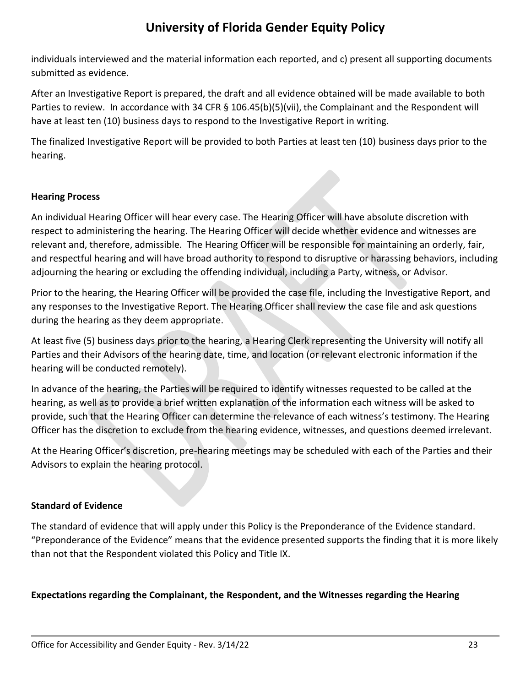individuals interviewed and the material information each reported, and c) present all supporting documents submitted as evidence.

After an Investigative Report is prepared, the draft and all evidence obtained will be made available to both Parties to review. In accordance with 34 CFR § 106.45(b)(5)(vii), the Complainant and the Respondent will have at least ten (10) business days to respond to the Investigative Report in writing.

The finalized Investigative Report will be provided to both Parties at least ten (10) business days prior to the hearing.

#### **Hearing Process**

An individual Hearing Officer will hear every case. The Hearing Officer will have absolute discretion with respect to administering the hearing. The Hearing Officer will decide whether evidence and witnesses are relevant and, therefore, admissible. The Hearing Officer will be responsible for maintaining an orderly, fair, and respectful hearing and will have broad authority to respond to disruptive or harassing behaviors, including adjourning the hearing or excluding the offending individual, including a Party, witness, or Advisor.

Prior to the hearing, the Hearing Officer will be provided the case file, including the Investigative Report, and any responses to the Investigative Report. The Hearing Officer shall review the case file and ask questions during the hearing as they deem appropriate.

At least five (5) business days prior to the hearing, a Hearing Clerk representing the University will notify all Parties and their Advisors of the hearing date, time, and location (or relevant electronic information if the hearing will be conducted remotely).

In advance of the hearing, the Parties will be required to identify witnesses requested to be called at the hearing, as well as to provide a brief written explanation of the information each witness will be asked to provide, such that the Hearing Officer can determine the relevance of each witness's testimony. The Hearing Officer has the discretion to exclude from the hearing evidence, witnesses, and questions deemed irrelevant.

At the Hearing Officer's discretion, pre-hearing meetings may be scheduled with each of the Parties and their Advisors to explain the hearing protocol.

### **Standard of Evidence**

The standard of evidence that will apply under this Policy is the Preponderance of the Evidence standard. "Preponderance of the Evidence" means that the evidence presented supports the finding that it is more likely than not that the Respondent violated this Policy and Title IX.

#### **Expectations regarding the Complainant, the Respondent, and the Witnesses regarding the Hearing**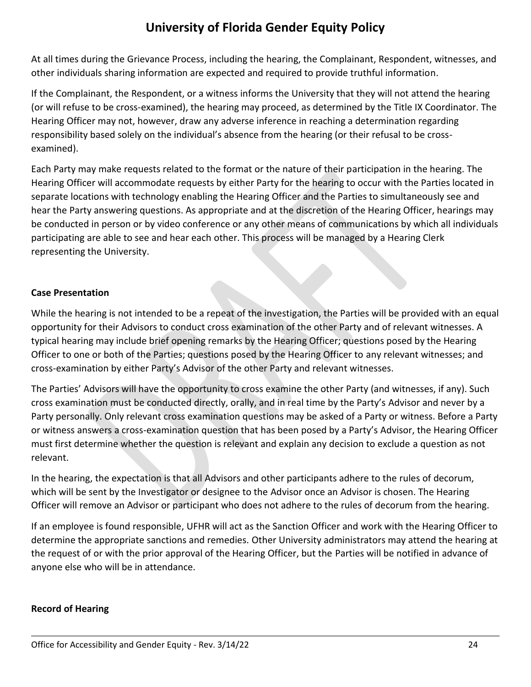At all times during the Grievance Process, including the hearing, the Complainant, Respondent, witnesses, and other individuals sharing information are expected and required to provide truthful information.

If the Complainant, the Respondent, or a witness informs the University that they will not attend the hearing (or will refuse to be cross-examined), the hearing may proceed, as determined by the Title IX Coordinator. The Hearing Officer may not, however, draw any adverse inference in reaching a determination regarding responsibility based solely on the individual's absence from the hearing (or their refusal to be crossexamined).

Each Party may make requests related to the format or the nature of their participation in the hearing. The Hearing Officer will accommodate requests by either Party for the hearing to occur with the Parties located in separate locations with technology enabling the Hearing Officer and the Parties to simultaneously see and hear the Party answering questions. As appropriate and at the discretion of the Hearing Officer, hearings may be conducted in person or by video conference or any other means of communications by which all individuals participating are able to see and hear each other. This process will be managed by a Hearing Clerk representing the University.

### **Case Presentation**

While the hearing is not intended to be a repeat of the investigation, the Parties will be provided with an equal opportunity for their Advisors to conduct cross examination of the other Party and of relevant witnesses. A typical hearing may include brief opening remarks by the Hearing Officer; questions posed by the Hearing Officer to one or both of the Parties; questions posed by the Hearing Officer to any relevant witnesses; and cross-examination by either Party's Advisor of the other Party and relevant witnesses.

The Parties' Advisors will have the opportunity to cross examine the other Party (and witnesses, if any). Such cross examination must be conducted directly, orally, and in real time by the Party's Advisor and never by a Party personally. Only relevant cross examination questions may be asked of a Party or witness. Before a Party or witness answers a cross-examination question that has been posed by a Party's Advisor, the Hearing Officer must first determine whether the question is relevant and explain any decision to exclude a question as not relevant.

In the hearing, the expectation is that all Advisors and other participants adhere to the rules of decorum, which will be sent by the Investigator or designee to the Advisor once an Advisor is chosen. The Hearing Officer will remove an Advisor or participant who does not adhere to the rules of decorum from the hearing.

If an employee is found responsible, UFHR will act as the Sanction Officer and work with the Hearing Officer to determine the appropriate sanctions and remedies. Other University administrators may attend the hearing at the request of or with the prior approval of the Hearing Officer, but the Parties will be notified in advance of anyone else who will be in attendance.

### **Record of Hearing**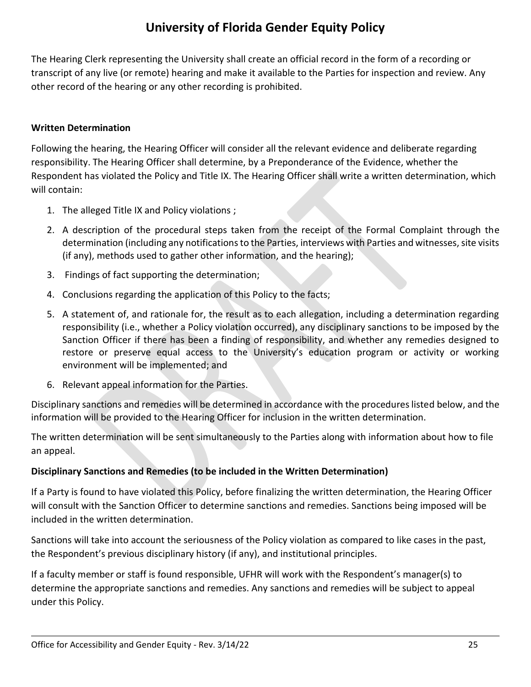The Hearing Clerk representing the University shall create an official record in the form of a recording or transcript of any live (or remote) hearing and make it available to the Parties for inspection and review. Any other record of the hearing or any other recording is prohibited.

### **Written Determination**

Following the hearing, the Hearing Officer will consider all the relevant evidence and deliberate regarding responsibility. The Hearing Officer shall determine, by a Preponderance of the Evidence, whether the Respondent has violated the Policy and Title IX. The Hearing Officer shall write a written determination, which will contain:

- 1. The alleged Title IX and Policy violations ;
- 2. A description of the procedural steps taken from the receipt of the Formal Complaint through the determination (including any notifications to the Parties, interviews with Parties and witnesses, site visits (if any), methods used to gather other information, and the hearing);
- 3. Findings of fact supporting the determination;
- 4. Conclusions regarding the application of this Policy to the facts;
- 5. A statement of, and rationale for, the result as to each allegation, including a determination regarding responsibility (i.e., whether a Policy violation occurred), any disciplinary sanctions to be imposed by the Sanction Officer if there has been a finding of responsibility, and whether any remedies designed to restore or preserve equal access to the University's education program or activity or working environment will be implemented; and
- 6. Relevant appeal information for the Parties.

Disciplinary sanctions and remedies will be determined in accordance with the procedures listed below, and the information will be provided to the Hearing Officer for inclusion in the written determination.

The written determination will be sent simultaneously to the Parties along with information about how to file an appeal.

### **Disciplinary Sanctions and Remedies (to be included in the Written Determination)**

If a Party is found to have violated this Policy, before finalizing the written determination, the Hearing Officer will consult with the Sanction Officer to determine sanctions and remedies. Sanctions being imposed will be included in the written determination.

Sanctions will take into account the seriousness of the Policy violation as compared to like cases in the past, the Respondent's previous disciplinary history (if any), and institutional principles.

If a faculty member or staff is found responsible, UFHR will work with the Respondent's manager(s) to determine the appropriate sanctions and remedies. Any sanctions and remedies will be subject to appeal under this Policy.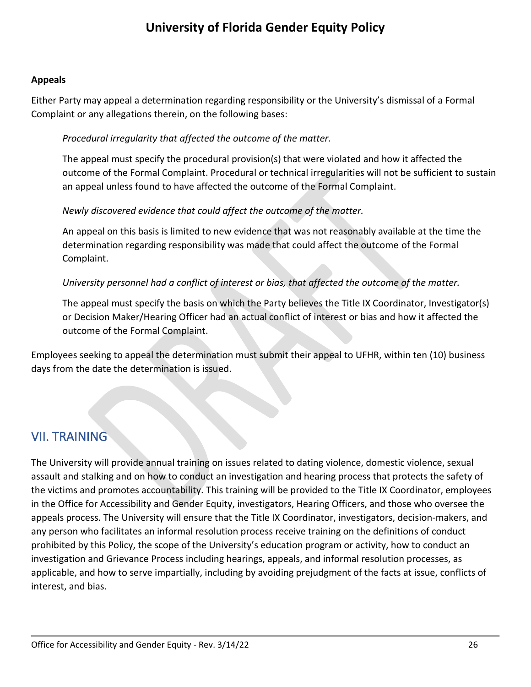#### **Appeals**

Either Party may appeal a determination regarding responsibility or the University's dismissal of a Formal Complaint or any allegations therein, on the following bases:

### *Procedural irregularity that affected the outcome of the matter.*

The appeal must specify the procedural provision(s) that were violated and how it affected the outcome of the Formal Complaint. Procedural or technical irregularities will not be sufficient to sustain an appeal unless found to have affected the outcome of the Formal Complaint.

### *Newly discovered evidence that could affect the outcome of the matter.*

An appeal on this basis is limited to new evidence that was not reasonably available at the time the determination regarding responsibility was made that could affect the outcome of the Formal Complaint.

### *University personnel had a conflict of interest or bias, that affected the outcome of the matter.*

The appeal must specify the basis on which the Party believes the Title IX Coordinator, Investigator(s) or Decision Maker/Hearing Officer had an actual conflict of interest or bias and how it affected the outcome of the Formal Complaint.

Employees seeking to appeal the determination must submit their appeal to UFHR, within ten (10) business days from the date the determination is issued.

### <span id="page-25-0"></span>VII. TRAINING

The University will provide annual training on issues related to dating violence, domestic violence, sexual assault and stalking and on how to conduct an investigation and hearing process that protects the safety of the victims and promotes accountability. This training will be provided to the Title IX Coordinator, employees in the Office for Accessibility and Gender Equity, investigators, Hearing Officers, and those who oversee the appeals process. The University will ensure that the Title IX Coordinator, investigators, decision-makers, and any person who facilitates an informal resolution process receive training on the definitions of conduct prohibited by this Policy, the scope of the University's education program or activity, how to conduct an investigation and Grievance Process including hearings, appeals, and informal resolution processes, as applicable, and how to serve impartially, including by avoiding prejudgment of the facts at issue, conflicts of interest, and bias.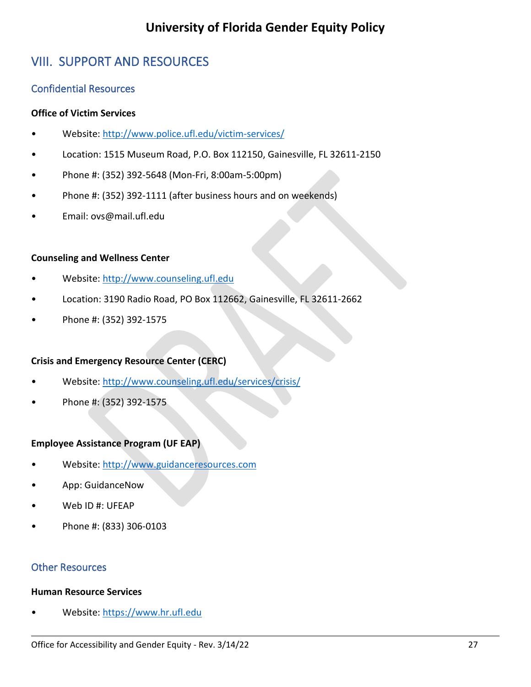# <span id="page-26-0"></span>VIII. SUPPORT AND RESOURCES

### <span id="page-26-1"></span>Confidential Resources

### **Office of Victim Services**

- Website:<http://www.police.ufl.edu/victim-services/>
- Location: 1515 Museum Road, P.O. Box 112150, Gainesville, FL 32611-2150
- Phone #: (352) 392-5648 (Mon-Fri, 8:00am-5:00pm)
- Phone #: (352) 392-1111 (after business hours and on weekends)
- Email: ovs@mail.ufl.edu

### **Counseling and Wellness Center**

- Website: [http://www.counseling.ufl.edu](http://www.counseling.ufl.edu/)
- Location: 3190 Radio Road, PO Box 112662, Gainesville, FL 32611-2662
- Phone #: (352) 392-1575

### **Crisis and Emergency Resource Center (CERC)**

- Website:<http://www.counseling.ufl.edu/services/crisis/>
- Phone #: (352) 392-1575

### **Employee Assistance Program (UF EAP)**

- Website: [http://www.guidanceresources.com](http://www.guidanceresources.com/)
- App: GuidanceNow
- Web ID #: UFEAP
- Phone #: (833) 306-0103

### <span id="page-26-2"></span>Other Resources

### **Human Resource Services**

• Website: [https://www.hr.ufl.edu](https://www.hr.ufl.edu/)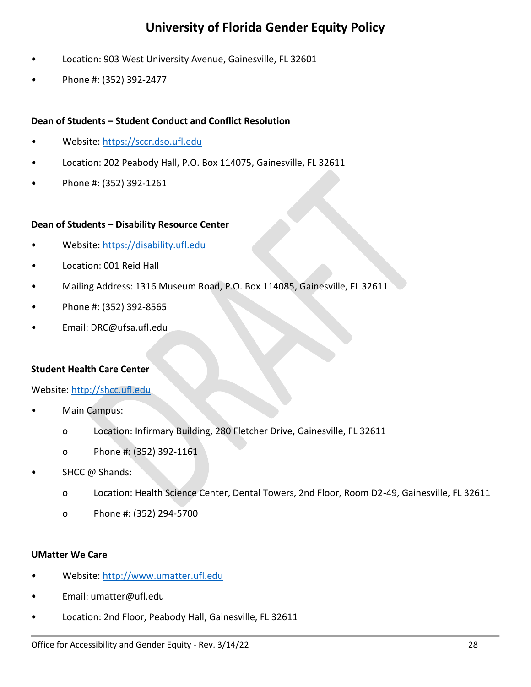- Location: 903 West University Avenue, Gainesville, FL 32601
- Phone #: (352) 392-2477

#### **Dean of Students – Student Conduct and Conflict Resolution**

- Website: [https://sccr.dso.ufl.edu](https://sccr.dso.ufl.edu/)
- Location: 202 Peabody Hall, P.O. Box 114075, Gainesville, FL 32611
- Phone #: (352) 392-1261

#### **Dean of Students – Disability Resource Center**

- Website: [https://disability.ufl.edu](https://disability.ufl.edu/)
- Location: 001 Reid Hall
- Mailing Address: 1316 Museum Road, P.O. Box 114085, Gainesville, FL 32611
- Phone #: (352) 392-8565
- Email: DRC@ufsa.ufl.edu

#### **Student Health Care Center**

Website: [http://shcc.ufl.edu](http://shcc.ufl.edu/)

- Main Campus:
	- o Location: Infirmary Building, 280 Fletcher Drive, Gainesville, FL 32611
	- o Phone #: (352) 392-1161
- SHCC @ Shands:
	- o Location: Health Science Center, Dental Towers, 2nd Floor, Room D2-49, Gainesville, FL 32611
	- o Phone #: (352) 294-5700

#### **UMatter We Care**

- Website: [http://www.umatter.ufl.edu](http://www.umatter.ufl.edu/)
- Email: umatter@ufl.edu
- Location: 2nd Floor, Peabody Hall, Gainesville, FL 32611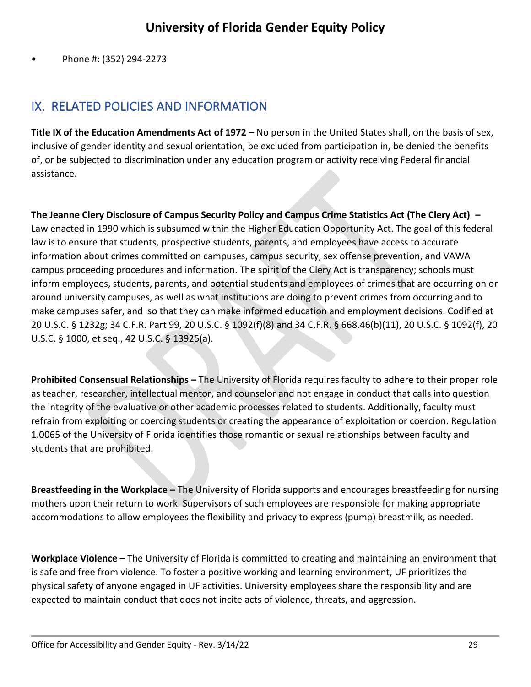• Phone #: (352) 294-2273

# <span id="page-28-0"></span>IX. RELATED POLICIES AND INFORMATION

**Title IX of the Education Amendments Act of 1972 –** No person in the United States shall, on the basis of sex, inclusive of gender identity and sexual orientation, be excluded from participation in, be denied the benefits of, or be subjected to discrimination under any education program or activity receiving Federal financial assistance.

**The Jeanne Clery Disclosure of Campus Security Policy and Campus Crime Statistics Act (The Clery Act) –** Law enacted in 1990 which is subsumed within the Higher Education Opportunity Act. The goal of this federal law is to ensure that students, prospective students, parents, and employees have access to accurate information about crimes committed on campuses, campus security, sex offense prevention, and VAWA campus proceeding procedures and information. The spirit of the Clery Act is transparency; schools must inform employees, students, parents, and potential students and employees of crimes that are occurring on or around university campuses, as well as what institutions are doing to prevent crimes from occurring and to make campuses safer, and so that they can make informed education and employment decisions. Codified at 20 U.S.C. § 1232g; 34 C.F.R. Part 99, 20 U.S.C. § 1092(f)(8) and 34 C.F.R. § 668.46(b)(11), 20 U.S.C. § 1092(f), 20 U.S.C. § 1000, et seq., 42 U.S.C. § 13925(a).

**Prohibited Consensual Relationships –** The University of Florida requires faculty to adhere to their proper role as teacher, researcher, intellectual mentor, and counselor and not engage in conduct that calls into question the integrity of the evaluative or other academic processes related to students. Additionally, faculty must refrain from exploiting or coercing students or creating the appearance of exploitation or coercion. Regulation 1.0065 of the University of Florida identifies those romantic or sexual relationships between faculty and students that are prohibited.

**Breastfeeding in the Workplace –** The University of Florida supports and encourages breastfeeding for nursing mothers upon their return to work. Supervisors of such employees are responsible for making appropriate accommodations to allow employees the flexibility and privacy to express (pump) breastmilk, as needed.

**Workplace Violence –** The University of Florida is committed to creating and maintaining an environment that is safe and free from violence. To foster a positive working and learning environment, UF prioritizes the physical safety of anyone engaged in UF activities. University employees share the responsibility and are expected to maintain conduct that does not incite acts of violence, threats, and aggression.